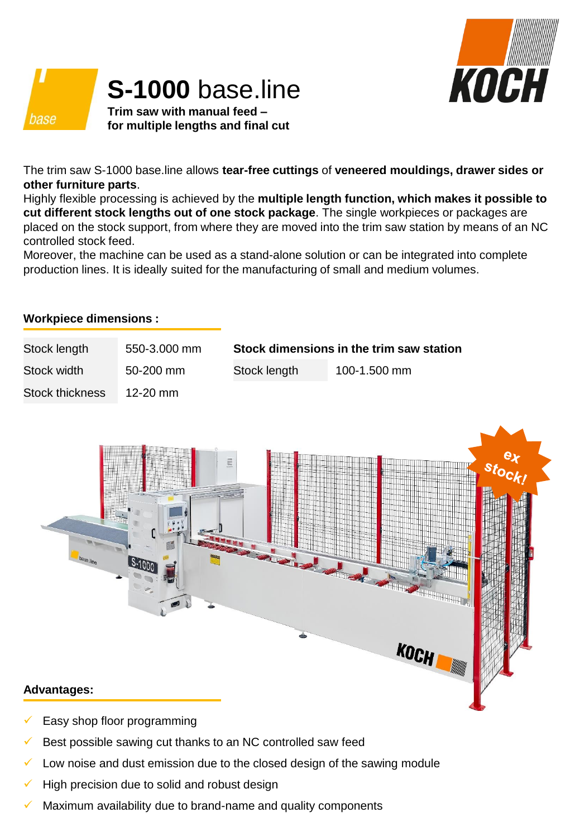

## **S-1000** base.line

**Trim saw with manual feed – for multiple lengths and final cut**

The trim saw S-1000 base.line allows **tear-free cuttings** of **veneered mouldings, drawer sides or other furniture parts**.

Highly flexible processing is achieved by the **multiple length function, which makes it possible to cut different stock lengths out of one stock package**. The single workpieces or packages are placed on the stock support, from where they are moved into the trim saw station by means of an NC controlled stock feed.

Moreover, the machine can be used as a stand-alone solution or can be integrated into complete production lines. It is ideally suited for the manufacturing of small and medium volumes.

## **Workpiece dimensions :**

base

| Stock length           | 550-3.000 mm  | Stock dimensions in the trim saw station |              |
|------------------------|---------------|------------------------------------------|--------------|
| Stock width            | $50 - 200$ mm | Stock length                             | 100-1.500 mm |
| <b>Stock thickness</b> | 12-20 mm      |                                          |              |



- Easy shop floor programming
- Best possible sawing cut thanks to an NC controlled saw feed
- Low noise and dust emission due to the closed design of the sawing module
- High precision due to solid and robust design
- Maximum availability due to brand-name and quality components